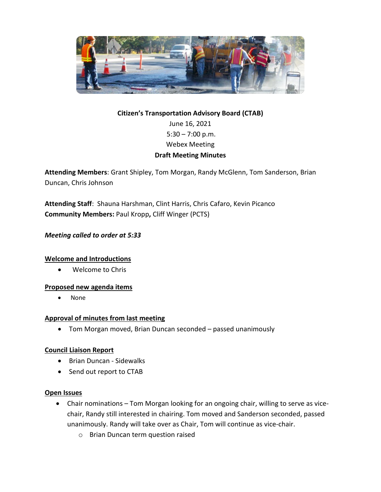

# **Citizen's Transportation Advisory Board (CTAB)** June 16, 2021  $5:30 - 7:00$  p.m. Webex Meeting **Draft Meeting Minutes**

**Attending Members**: Grant Shipley, Tom Morgan, Randy McGlenn, Tom Sanderson, Brian Duncan, Chris Johnson

**Attending Staff**: Shauna Harshman, Clint Harris, Chris Cafaro, Kevin Picanco **Community Members:** Paul Kropp**,** Cliff Winger (PCTS)

# *Meeting called to order at 5:33*

# **Welcome and Introductions**

• Welcome to Chris

# **Proposed new agenda items**

• None

# **Approval of minutes from last meeting**

• Tom Morgan moved, Brian Duncan seconded – passed unanimously

# **Council Liaison Report**

- Brian Duncan Sidewalks
- Send out report to CTAB

#### **Open Issues**

- Chair nominations Tom Morgan looking for an ongoing chair, willing to serve as vicechair, Randy still interested in chairing. Tom moved and Sanderson seconded, passed unanimously. Randy will take over as Chair, Tom will continue as vice-chair.
	- o Brian Duncan term question raised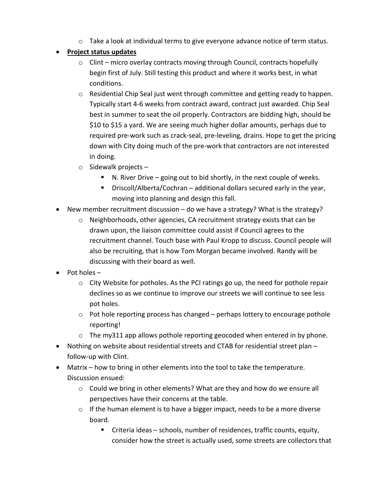$\circ$  Take a look at individual terms to give everyone advance notice of term status.

# • **Project status updates**

- $\circ$  Clint micro overlay contracts moving through Council, contracts hopefully begin first of July. Still testing this product and where it works best, in what conditions.
- $\circ$  Residential Chip Seal just went through committee and getting ready to happen. Typically start 4-6 weeks from contract award, contract just awarded. Chip Seal best in summer to seat the oil properly. Contractors are bidding high, should be \$10 to \$15 a yard. We are seeing much higher dollar amounts, perhaps due to required pre-work such as crack-seal, pre-leveling, drains. Hope to get the pricing down with City doing much of the pre-work that contractors are not interested in doing.
- o Sidewalk projects
	- N. River Drive going out to bid shortly, in the next couple of weeks.
	- Driscoll/Alberta/Cochran additional dollars secured early in the year, moving into planning and design this fall.
- New member recruitment discussion do we have a strategy? What is the strategy?
	- $\circ$  Neighborhoods, other agencies, CA recruitment strategy exists that can be drawn upon, the liaison committee could assist if Council agrees to the recruitment channel. Touch base with Paul Kropp to discuss. Council people will also be recruiting, that is how Tom Morgan became involved. Randy will be discussing with their board as well.
- Pot holes
	- $\circ$  City Website for potholes. As the PCI ratings go up, the need for pothole repair declines so as we continue to improve our streets we will continue to see less pot holes.
	- $\circ$  Pot hole reporting process has changed perhaps lottery to encourage pothole reporting!
	- $\circ$  The my311 app allows pothole reporting geocoded when entered in by phone.
- Nothing on website about residential streets and CTAB for residential street plan follow-up with Clint.
- Matrix how to bring in other elements into the tool to take the temperature. Discussion ensued:
	- o Could we bring in other elements? What are they and how do we ensure all perspectives have their concerns at the table.
	- o If the human element is to have a bigger impact, needs to be a more diverse board.
		- Criteria ideas schools, number of residences, traffic counts, equity, consider how the street is actually used, some streets are collectors that